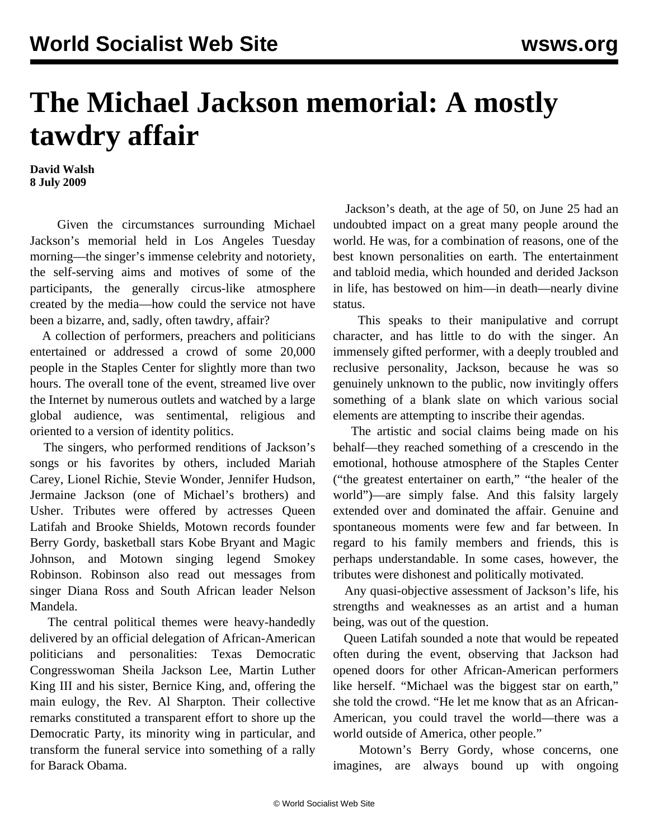## **The Michael Jackson memorial: A mostly tawdry affair**

**David Walsh 8 July 2009**

 Given the circumstances surrounding Michael Jackson's memorial held in Los Angeles Tuesday morning—the singer's immense celebrity and notoriety, the self-serving aims and motives of some of the participants, the generally circus-like atmosphere created by the media—how could the service not have been a bizarre, and, sadly, often tawdry, affair?

 A collection of performers, preachers and politicians entertained or addressed a crowd of some 20,000 people in the Staples Center for slightly more than two hours. The overall tone of the event, streamed live over the Internet by numerous outlets and watched by a large global audience, was sentimental, religious and oriented to a version of identity politics.

 The singers, who performed renditions of Jackson's songs or his favorites by others, included Mariah Carey, Lionel Richie, Stevie Wonder, Jennifer Hudson, Jermaine Jackson (one of Michael's brothers) and Usher. Tributes were offered by actresses Queen Latifah and Brooke Shields, Motown records founder Berry Gordy, basketball stars Kobe Bryant and Magic Johnson, and Motown singing legend Smokey Robinson. Robinson also read out messages from singer Diana Ross and South African leader Nelson Mandela.

 The central political themes were heavy-handedly delivered by an official delegation of African-American politicians and personalities: Texas Democratic Congresswoman Sheila Jackson Lee, Martin Luther King III and his sister, Bernice King, and, offering the main eulogy, the Rev. Al Sharpton. Their collective remarks constituted a transparent effort to shore up the Democratic Party, its minority wing in particular, and transform the funeral service into something of a rally for Barack Obama.

 Jackson's death, at the age of 50, on June 25 had an undoubted impact on a great many people around the world. He was, for a combination of reasons, one of the best known personalities on earth. The entertainment and tabloid media, which hounded and derided Jackson in life, has bestowed on him—in death—nearly divine status.

 This speaks to their manipulative and corrupt character, and has little to do with the singer. An immensely gifted performer, with a deeply troubled and reclusive personality, Jackson, because he was so genuinely unknown to the public, now invitingly offers something of a blank slate on which various social elements are attempting to inscribe their agendas.

 The artistic and social claims being made on his behalf—they reached something of a crescendo in the emotional, hothouse atmosphere of the Staples Center ("the greatest entertainer on earth," "the healer of the world")—are simply false. And this falsity largely extended over and dominated the affair. Genuine and spontaneous moments were few and far between. In regard to his family members and friends, this is perhaps understandable. In some cases, however, the tributes were dishonest and politically motivated.

 Any quasi-objective assessment of Jackson's life, his strengths and weaknesses as an artist and a human being, was out of the question.

 Queen Latifah sounded a note that would be repeated often during the event, observing that Jackson had opened doors for other African-American performers like herself. "Michael was the biggest star on earth," she told the crowd. "He let me know that as an African-American, you could travel the world—there was a world outside of America, other people."

 Motown's Berry Gordy, whose concerns, one imagines, are always bound up with ongoing